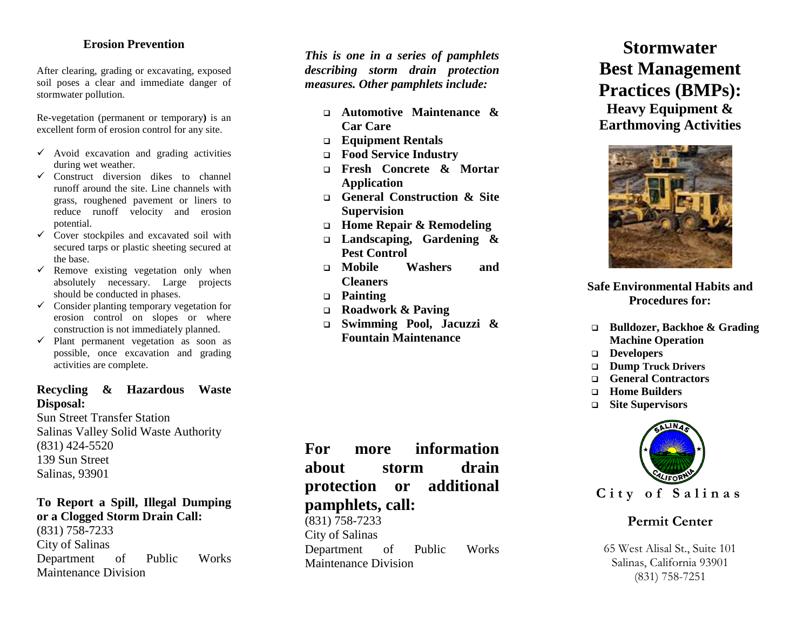#### **Erosion Prevention**

After clearing, grading or excavating, exposed soil poses a clear and immediate danger of stormwater pollution.

Re -vegetation (permanent or temporary**)** is an excellent form of erosion control for any site.

- $\checkmark$  Avoid excavation and grading activities during wet weather.
- $\checkmark$  Construct diversion dikes to channel runoff around the site. Line channels with grass, roughened pavement or liners to reduce runoff velocity and erosion potential.
- $\checkmark$  Cover stockpiles and excavated soil with secured tarps or plastic sheeting secured at the base.
- $\checkmark$  Remove existing vegetation only when absolutely necessary. Large projects should be conducted in phases.
- $\checkmark$  Consider planting temporary vegetation for erosion control on slopes or where construction is not immediately planned.
- $\checkmark$  Plant permanent vegetation as soon as possible, once excavation and grading activities are complete.

#### **Recycling & Hazardous Waste Disposal:**

Sun Street Transfer Station Salinas Valley Solid Waste Authority (831) 424 -5520 139 Sun Street Salinas, 93901

#### **To Report a Spill, Illegal Dumping or a Clogged Storm Drain Call:**

(831) 758 -7233 City of Salinas Department of Public Works Maintenance Division

*This is one in a series of pamphlets describing storm drain protection measures. Other pamphlets include:*

- **Automotive Maintenance & Car Care**
- **Equipment Rentals**
- **Food Service Industry**
- **Fresh Concrete & Mortar Application**
- **General Construction & Site Supervision**
- **Home Repair & Remodeling**
- **Landscaping, Gardening & Pest Control**
- **Mobile Washers and Cleaners**
- **Painting**
- **Roadwork & Paving**
- **Swimming Pool, Jacuzzi & Fountain Maintenance**

**For more information about storm drain protection or additional pamphlets, call:**

(831) 758 -7233 City of Salinas Department of Public Works Maintenance Division

# **Stormwater Best Management Practices (BMPs):**

**Heavy Equipment & Earthmoving Activities**



#### **Safe Environmental Habits and Procedures for:**

- **Bulldozer, Backhoe & Grading Machine Operation**
- **Developers**
- **Dump Truck Drivers**
- **General Contractors**
- **Home Builders**
- **Site Supervisors**



## **Permit Center**

65 West Alisal St., Suite 101 Salinas, California 93901 (831) 758 -7251